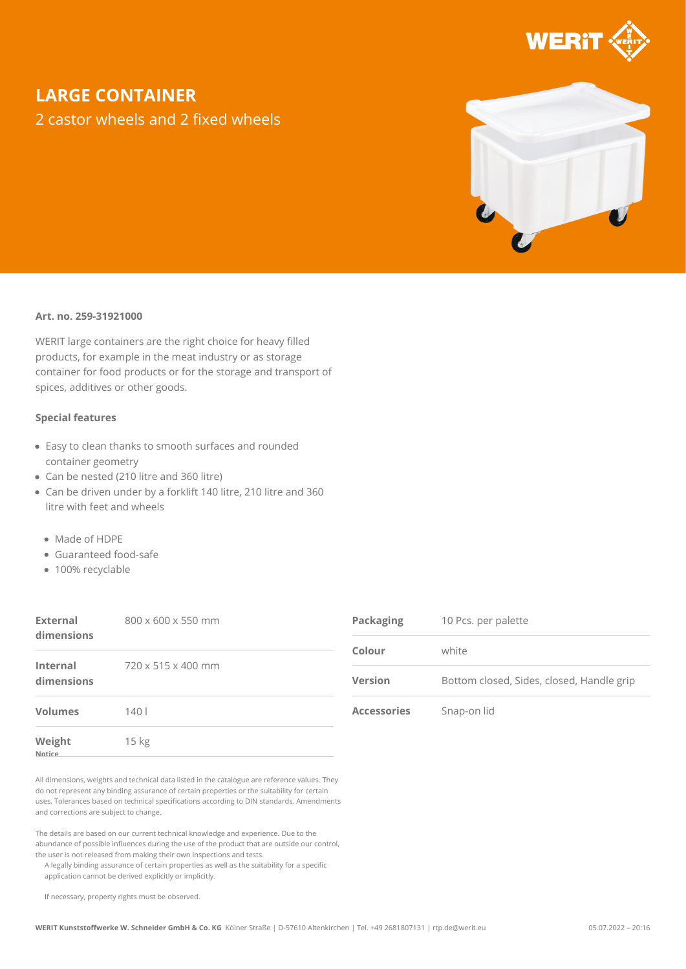

## **LARGE CONTAINER**

2 castor wheels and 2 fixed wheels



## **Art. no. 259-31921000**

WERIT large containers are the right choice for heavy filled products, for example in the meat industry or as storage container for food products or for the storage and transport of spices, additives or other goods.

## **Special features**

- Easy to clean thanks to smooth surfaces and rounded container geometry
- Can be nested (210 litre and 360 litre)
- Can be driven under by a forklift 140 litre, 210 litre and 360 litre with feet and wheels
	- Made of HDPE
	- Guaranteed food-safe
	- 100% recyclable

| External<br>dimensions        | 800 x 600 x 550 mm | Packaging          | 10 Pcs. per palette                       |
|-------------------------------|--------------------|--------------------|-------------------------------------------|
|                               |                    | Colour             | white                                     |
| <b>Internal</b><br>dimensions | 720 x 515 x 400 mm | <b>Version</b>     | Bottom closed, Sides, closed, Handle grip |
| <b>Volumes</b>                | 140l               | <b>Accessories</b> | Snap-on lid                               |
| Weight<br>Notice              | 15 kg              |                    |                                           |

All dimensions, weights and technical data listed in the catalogue are reference values. They do not represent any binding assurance of certain properties or the suitability for certain uses. Tolerances based on technical specifications according to DIN standards. Amendments and corrections are subject to change.

The details are based on our current technical knowledge and experience. Due to the abundance of possible influences during the use of the product that are outside our control, the user is not released from making their own inspections and tests.

A legally binding assurance of certain properties as well as the suitability for a specific application cannot be derived explicitly or implicitly.

If necessary, property rights must be observed.